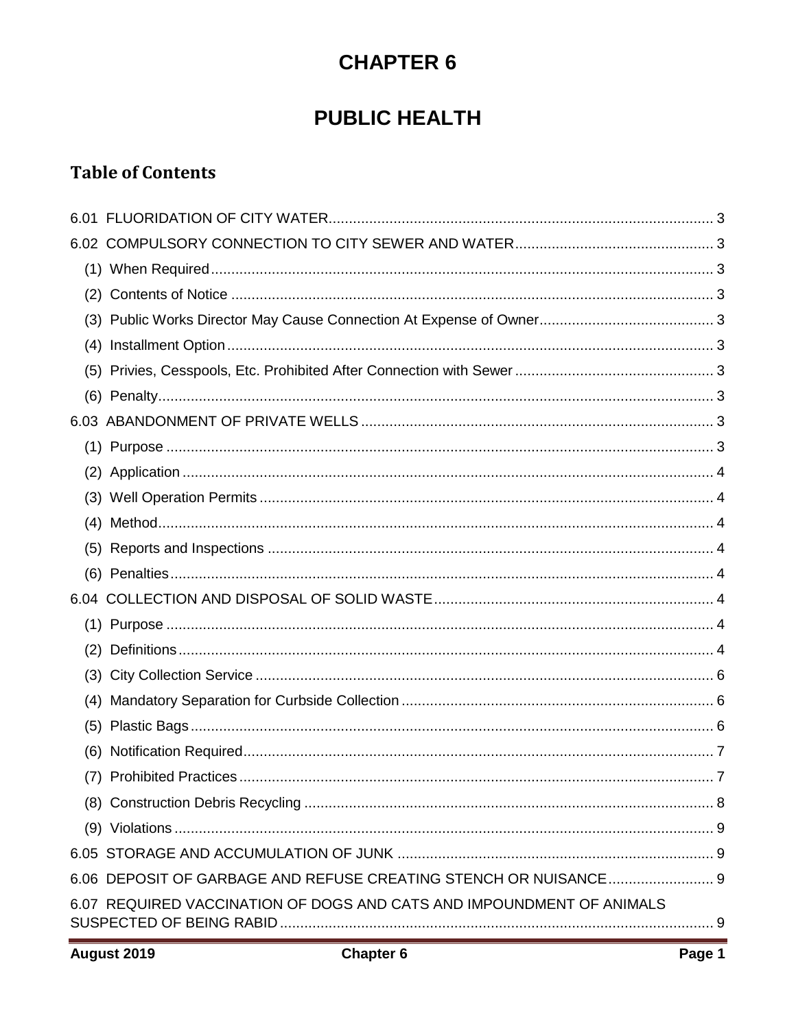# **CHAPTER 6**

## **PUBLIC HEALTH**

## **Table of Contents**

| 6.07 REQUIRED VACCINATION OF DOGS AND CATS AND IMPOUNDMENT OF ANIMALS |  |
|-----------------------------------------------------------------------|--|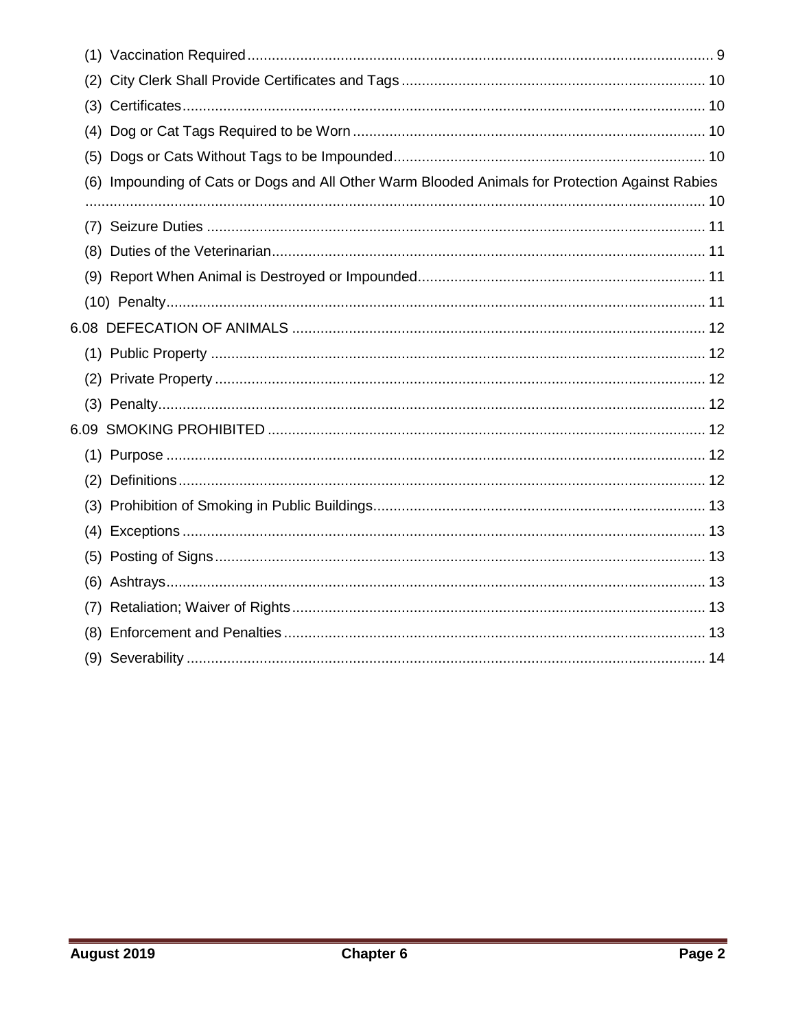| (2) |                                                                                             |
|-----|---------------------------------------------------------------------------------------------|
|     |                                                                                             |
| (4) |                                                                                             |
| (5) |                                                                                             |
| (6) | Impounding of Cats or Dogs and All Other Warm Blooded Animals for Protection Against Rabies |
|     |                                                                                             |
|     |                                                                                             |
| (8) |                                                                                             |
|     |                                                                                             |
|     |                                                                                             |
|     |                                                                                             |
|     |                                                                                             |
| (2) |                                                                                             |
|     |                                                                                             |
|     |                                                                                             |
|     |                                                                                             |
| (2) |                                                                                             |
|     |                                                                                             |
| (4) |                                                                                             |
| (5) |                                                                                             |
| (6) |                                                                                             |
| (7) |                                                                                             |
| (8) |                                                                                             |
|     |                                                                                             |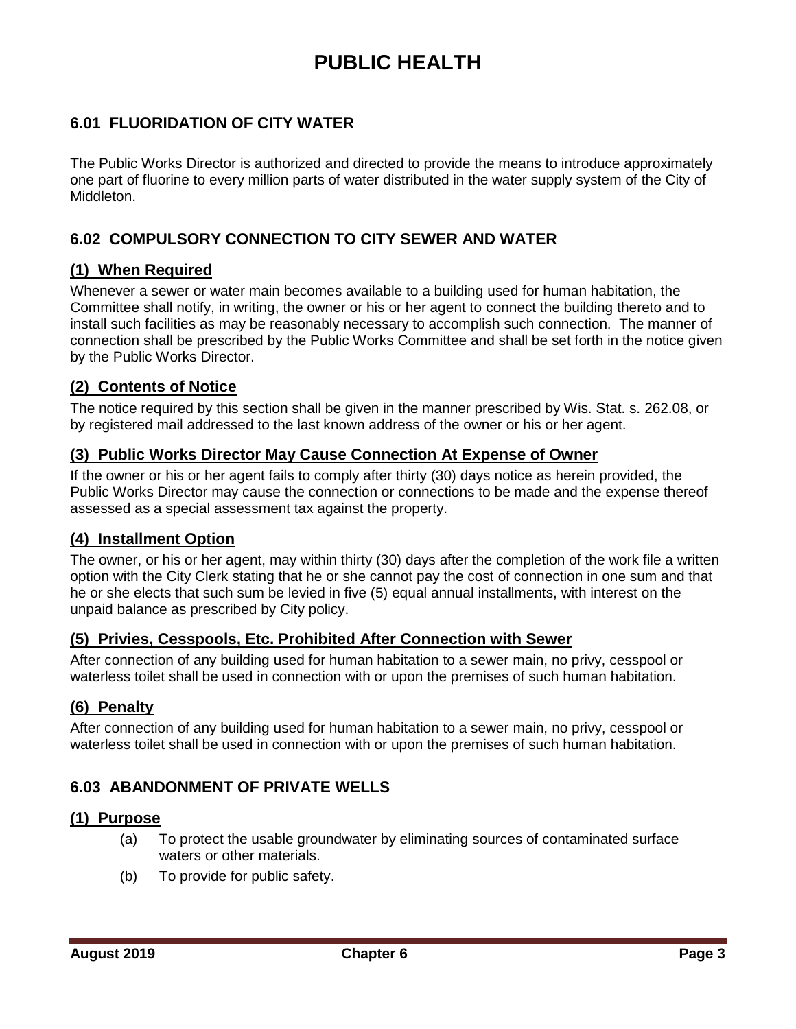## **PUBLIC HEALTH**

## <span id="page-2-0"></span>**6.01 FLUORIDATION OF CITY WATER**

The Public Works Director is authorized and directed to provide the means to introduce approximately one part of fluorine to every million parts of water distributed in the water supply system of the City of Middleton.

### <span id="page-2-1"></span>**6.02 COMPULSORY CONNECTION TO CITY SEWER AND WATER**

#### <span id="page-2-2"></span>**(1) When Required**

Whenever a sewer or water main becomes available to a building used for human habitation, the Committee shall notify, in writing, the owner or his or her agent to connect the building thereto and to install such facilities as may be reasonably necessary to accomplish such connection. The manner of connection shall be prescribed by the Public Works Committee and shall be set forth in the notice given by the Public Works Director.

#### <span id="page-2-3"></span>**(2) Contents of Notice**

The notice required by this section shall be given in the manner prescribed by Wis. Stat. s. 262.08, or by registered mail addressed to the last known address of the owner or his or her agent.

#### <span id="page-2-4"></span>**(3) Public Works Director May Cause Connection At Expense of Owner**

If the owner or his or her agent fails to comply after thirty (30) days notice as herein provided, the Public Works Director may cause the connection or connections to be made and the expense thereof assessed as a special assessment tax against the property.

#### <span id="page-2-5"></span>**(4) Installment Option**

The owner, or his or her agent, may within thirty (30) days after the completion of the work file a written option with the City Clerk stating that he or she cannot pay the cost of connection in one sum and that he or she elects that such sum be levied in five (5) equal annual installments, with interest on the unpaid balance as prescribed by City policy.

#### <span id="page-2-6"></span>**(5) Privies, Cesspools, Etc. Prohibited After Connection with Sewer**

After connection of any building used for human habitation to a sewer main, no privy, cesspool or waterless toilet shall be used in connection with or upon the premises of such human habitation.

#### <span id="page-2-7"></span>**(6) Penalty**

After connection of any building used for human habitation to a sewer main, no privy, cesspool or waterless toilet shall be used in connection with or upon the premises of such human habitation.

#### <span id="page-2-8"></span>**6.03 ABANDONMENT OF PRIVATE WELLS**

#### <span id="page-2-9"></span>**(1) Purpose**

- (a) To protect the usable groundwater by eliminating sources of contaminated surface waters or other materials.
- (b) To provide for public safety.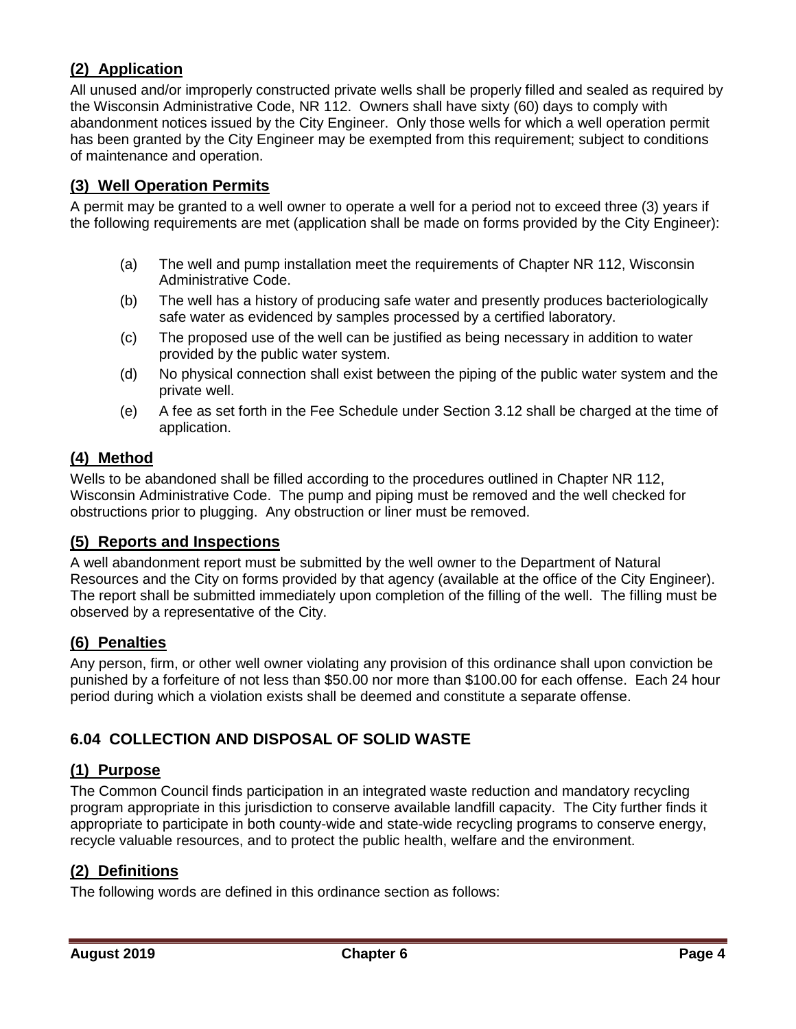## <span id="page-3-0"></span>**(2) Application**

All unused and/or improperly constructed private wells shall be properly filled and sealed as required by the Wisconsin Administrative Code, NR 112. Owners shall have sixty (60) days to comply with abandonment notices issued by the City Engineer. Only those wells for which a well operation permit has been granted by the City Engineer may be exempted from this requirement; subject to conditions of maintenance and operation.

## <span id="page-3-1"></span>**(3) Well Operation Permits**

A permit may be granted to a well owner to operate a well for a period not to exceed three (3) years if the following requirements are met (application shall be made on forms provided by the City Engineer):

- (a) The well and pump installation meet the requirements of Chapter NR 112, Wisconsin Administrative Code.
- (b) The well has a history of producing safe water and presently produces bacteriologically safe water as evidenced by samples processed by a certified laboratory.
- (c) The proposed use of the well can be justified as being necessary in addition to water provided by the public water system.
- (d) No physical connection shall exist between the piping of the public water system and the private well.
- (e) A fee as set forth in the Fee Schedule under Section 3.12 shall be charged at the time of application.

#### <span id="page-3-2"></span>**(4) Method**

Wells to be abandoned shall be filled according to the procedures outlined in Chapter NR 112, Wisconsin Administrative Code. The pump and piping must be removed and the well checked for obstructions prior to plugging. Any obstruction or liner must be removed.

#### <span id="page-3-3"></span>**(5) Reports and Inspections**

A well abandonment report must be submitted by the well owner to the Department of Natural Resources and the City on forms provided by that agency (available at the office of the City Engineer). The report shall be submitted immediately upon completion of the filling of the well. The filling must be observed by a representative of the City.

#### <span id="page-3-4"></span>**(6) Penalties**

Any person, firm, or other well owner violating any provision of this ordinance shall upon conviction be punished by a forfeiture of not less than \$50.00 nor more than \$100.00 for each offense. Each 24 hour period during which a violation exists shall be deemed and constitute a separate offense.

## <span id="page-3-5"></span>**6.04 COLLECTION AND DISPOSAL OF SOLID WASTE**

#### <span id="page-3-6"></span>**(1) Purpose**

The Common Council finds participation in an integrated waste reduction and mandatory recycling program appropriate in this jurisdiction to conserve available landfill capacity. The City further finds it appropriate to participate in both county-wide and state-wide recycling programs to conserve energy, recycle valuable resources, and to protect the public health, welfare and the environment.

## <span id="page-3-7"></span>**(2) Definitions**

The following words are defined in this ordinance section as follows: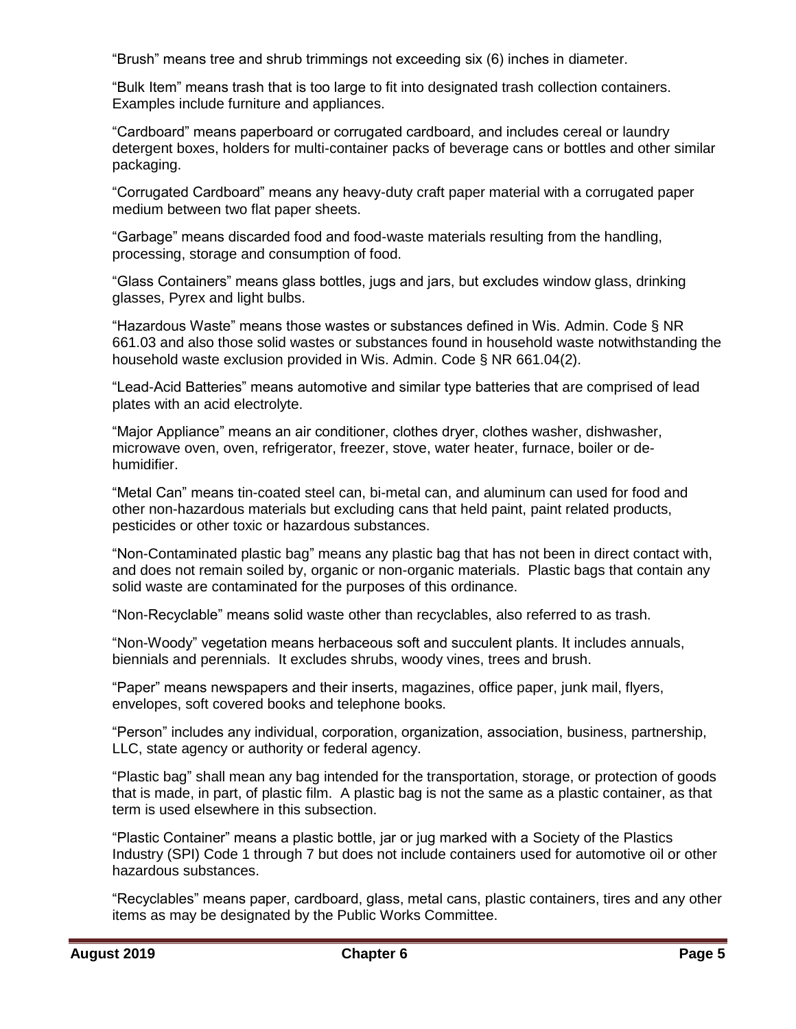"Brush" means tree and shrub trimmings not exceeding six (6) inches in diameter.

"Bulk Item" means trash that is too large to fit into designated trash collection containers. Examples include furniture and appliances.

"Cardboard" means paperboard or corrugated cardboard, and includes cereal or laundry detergent boxes, holders for multi-container packs of beverage cans or bottles and other similar packaging.

"Corrugated Cardboard" means any heavy-duty craft paper material with a corrugated paper medium between two flat paper sheets.

"Garbage" means discarded food and food-waste materials resulting from the handling, processing, storage and consumption of food.

"Glass Containers" means glass bottles, jugs and jars, but excludes window glass, drinking glasses, Pyrex and light bulbs.

"Hazardous Waste" means those wastes or substances defined in Wis. Admin. Code § NR 661.03 and also those solid wastes or substances found in household waste notwithstanding the household waste exclusion provided in Wis. Admin. Code § NR 661.04(2).

"Lead-Acid Batteries" means automotive and similar type batteries that are comprised of lead plates with an acid electrolyte.

"Major Appliance" means an air conditioner, clothes dryer, clothes washer, dishwasher, microwave oven, oven, refrigerator, freezer, stove, water heater, furnace, boiler or dehumidifier.

"Metal Can" means tin-coated steel can, bi-metal can, and aluminum can used for food and other non-hazardous materials but excluding cans that held paint, paint related products, pesticides or other toxic or hazardous substances.

"Non-Contaminated plastic bag" means any plastic bag that has not been in direct contact with, and does not remain soiled by, organic or non-organic materials. Plastic bags that contain any solid waste are contaminated for the purposes of this ordinance.

"Non-Recyclable" means solid waste other than recyclables, also referred to as trash.

"Non-Woody" vegetation means herbaceous soft and succulent plants. It includes annuals, biennials and perennials. It excludes shrubs, woody vines, trees and brush.

"Paper" means newspapers and their inserts, magazines, office paper, junk mail, flyers, envelopes, soft covered books and telephone books.

"Person" includes any individual, corporation, organization, association, business, partnership, LLC, state agency or authority or federal agency.

"Plastic bag" shall mean any bag intended for the transportation, storage, or protection of goods that is made, in part, of plastic film. A plastic bag is not the same as a plastic container, as that term is used elsewhere in this subsection.

"Plastic Container" means a plastic bottle, jar or jug marked with a Society of the Plastics Industry (SPI) Code 1 through 7 but does not include containers used for automotive oil or other hazardous substances.

"Recyclables" means paper, cardboard, glass, metal cans, plastic containers, tires and any other items as may be designated by the Public Works Committee.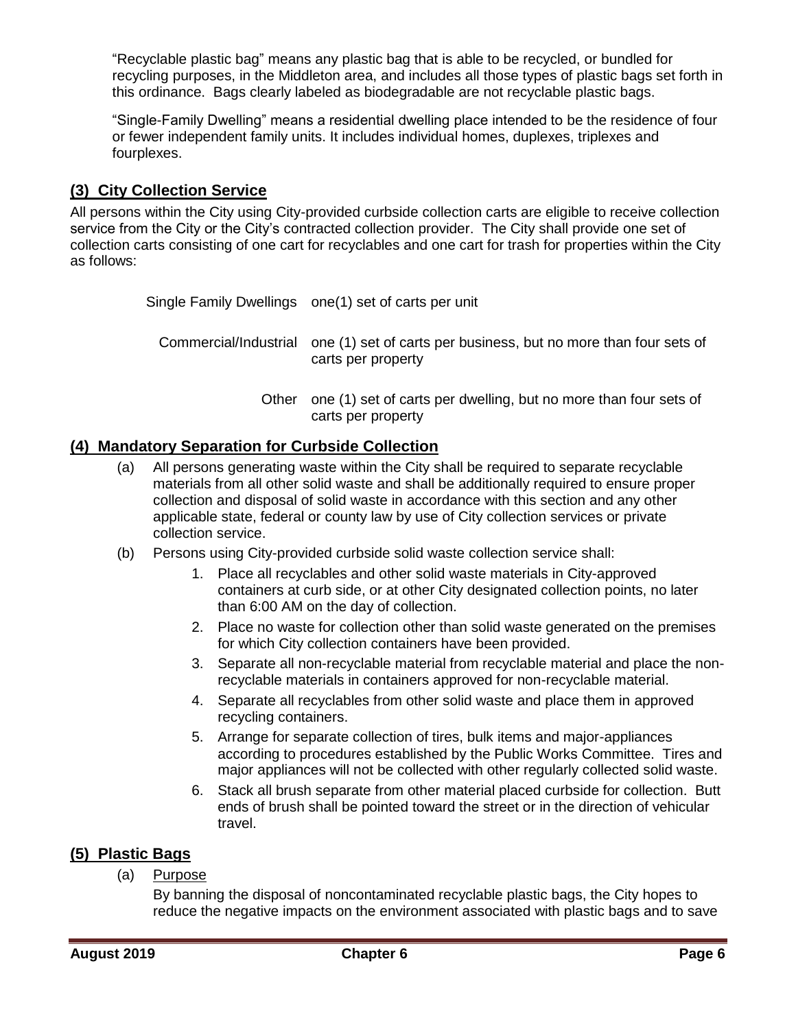"Recyclable plastic bag" means any plastic bag that is able to be recycled, or bundled for recycling purposes, in the Middleton area, and includes all those types of plastic bags set forth in this ordinance. Bags clearly labeled as biodegradable are not recyclable plastic bags.

"Single-Family Dwelling" means a residential dwelling place intended to be the residence of four or fewer independent family units. It includes individual homes, duplexes, triplexes and fourplexes.

### <span id="page-5-0"></span>**(3) City Collection Service**

All persons within the City using City-provided curbside collection carts are eligible to receive collection service from the City or the City's contracted collection provider. The City shall provide one set of collection carts consisting of one cart for recyclables and one cart for trash for properties within the City as follows:

Single Family Dwellings one(1) set of carts per unit

Commercial/Industrial one (1) set of carts per business, but no more than four sets of carts per property

> Other one (1) set of carts per dwelling, but no more than four sets of carts per property

#### <span id="page-5-1"></span>**(4) Mandatory Separation for Curbside Collection**

- (a) All persons generating waste within the City shall be required to separate recyclable materials from all other solid waste and shall be additionally required to ensure proper collection and disposal of solid waste in accordance with this section and any other applicable state, federal or county law by use of City collection services or private collection service.
- (b) Persons using City-provided curbside solid waste collection service shall:
	- 1. Place all recyclables and other solid waste materials in City-approved containers at curb side, or at other City designated collection points, no later than 6:00 AM on the day of collection.
	- 2. Place no waste for collection other than solid waste generated on the premises for which City collection containers have been provided.
	- 3. Separate all non-recyclable material from recyclable material and place the nonrecyclable materials in containers approved for non-recyclable material.
	- 4. Separate all recyclables from other solid waste and place them in approved recycling containers.
	- 5. Arrange for separate collection of tires, bulk items and major-appliances according to procedures established by the Public Works Committee. Tires and major appliances will not be collected with other regularly collected solid waste.
	- 6. Stack all brush separate from other material placed curbside for collection. Butt ends of brush shall be pointed toward the street or in the direction of vehicular travel.

#### <span id="page-5-2"></span>**(5) Plastic Bags**

(a) Purpose

By banning the disposal of noncontaminated recyclable plastic bags, the City hopes to reduce the negative impacts on the environment associated with plastic bags and to save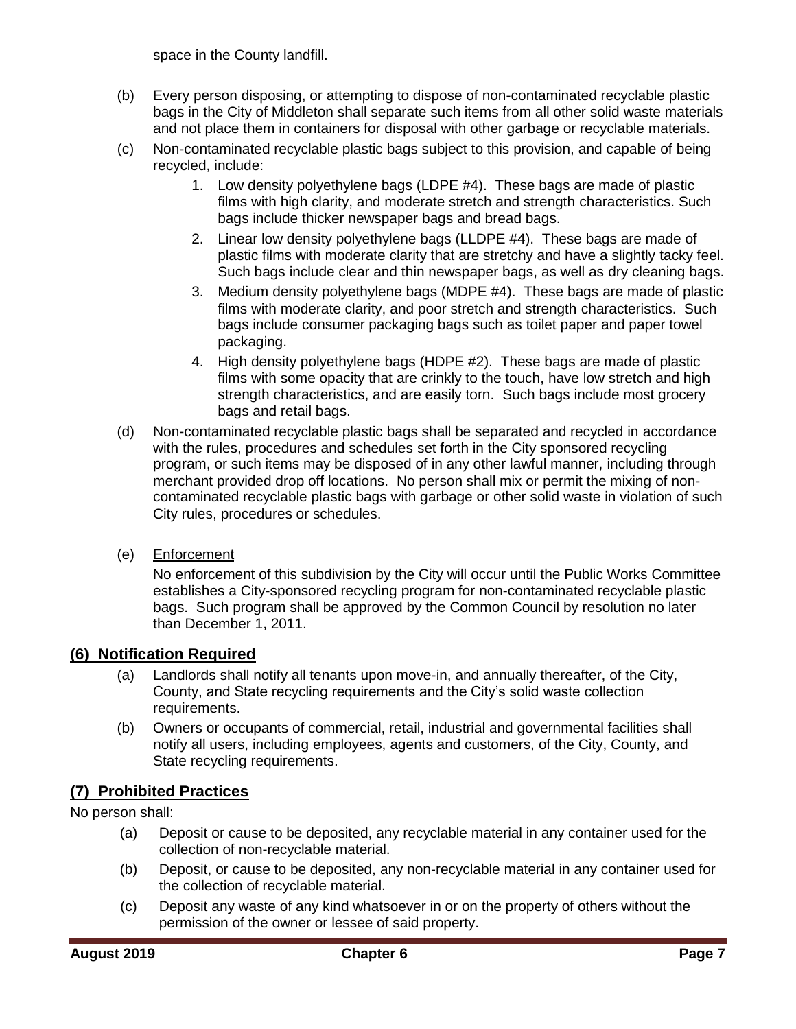space in the County landfill.

- (b) Every person disposing, or attempting to dispose of non-contaminated recyclable plastic bags in the City of Middleton shall separate such items from all other solid waste materials and not place them in containers for disposal with other garbage or recyclable materials.
- (c) Non-contaminated recyclable plastic bags subject to this provision, and capable of being recycled, include:
	- 1. Low density polyethylene bags (LDPE #4). These bags are made of plastic films with high clarity, and moderate stretch and strength characteristics. Such bags include thicker newspaper bags and bread bags.
	- 2. Linear low density polyethylene bags (LLDPE #4). These bags are made of plastic films with moderate clarity that are stretchy and have a slightly tacky feel. Such bags include clear and thin newspaper bags, as well as dry cleaning bags.
	- 3. Medium density polyethylene bags (MDPE #4). These bags are made of plastic films with moderate clarity, and poor stretch and strength characteristics. Such bags include consumer packaging bags such as toilet paper and paper towel packaging.
	- 4. High density polyethylene bags (HDPE #2). These bags are made of plastic films with some opacity that are crinkly to the touch, have low stretch and high strength characteristics, and are easily torn. Such bags include most grocery bags and retail bags.
- (d) Non-contaminated recyclable plastic bags shall be separated and recycled in accordance with the rules, procedures and schedules set forth in the City sponsored recycling program, or such items may be disposed of in any other lawful manner, including through merchant provided drop off locations. No person shall mix or permit the mixing of noncontaminated recyclable plastic bags with garbage or other solid waste in violation of such City rules, procedures or schedules.
- (e) Enforcement

No enforcement of this subdivision by the City will occur until the Public Works Committee establishes a City-sponsored recycling program for non-contaminated recyclable plastic bags. Such program shall be approved by the Common Council by resolution no later than December 1, 2011.

#### <span id="page-6-0"></span>**(6) Notification Required**

- (a) Landlords shall notify all tenants upon move-in, and annually thereafter, of the City, County, and State recycling requirements and the City's solid waste collection requirements.
- (b) Owners or occupants of commercial, retail, industrial and governmental facilities shall notify all users, including employees, agents and customers, of the City, County, and State recycling requirements.

## <span id="page-6-1"></span>**(7) Prohibited Practices**

No person shall:

- (a) Deposit or cause to be deposited, any recyclable material in any container used for the collection of non-recyclable material.
- (b) Deposit, or cause to be deposited, any non-recyclable material in any container used for the collection of recyclable material.
- (c) Deposit any waste of any kind whatsoever in or on the property of others without the permission of the owner or lessee of said property.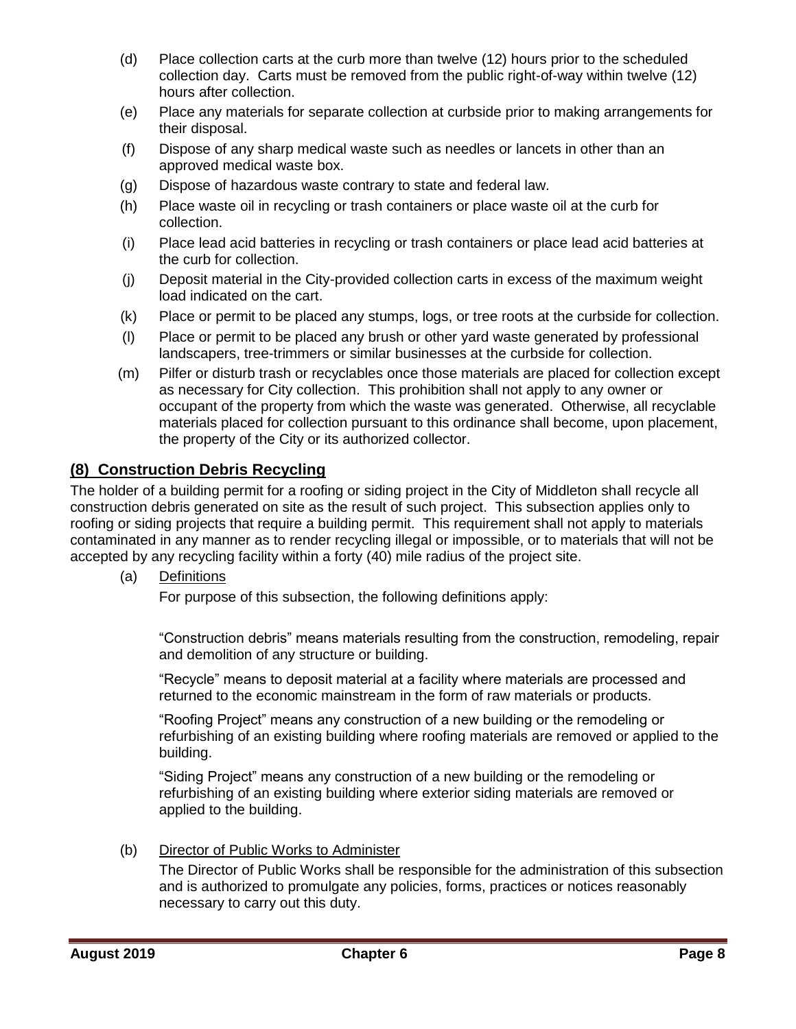- (d) Place collection carts at the curb more than twelve (12) hours prior to the scheduled collection day. Carts must be removed from the public right-of-way within twelve (12) hours after collection.
- (e) Place any materials for separate collection at curbside prior to making arrangements for their disposal.
- (f) Dispose of any sharp medical waste such as needles or lancets in other than an approved medical waste box.
- (g) Dispose of hazardous waste contrary to state and federal law.
- (h) Place waste oil in recycling or trash containers or place waste oil at the curb for collection.
- (i) Place lead acid batteries in recycling or trash containers or place lead acid batteries at the curb for collection.
- (j) Deposit material in the City-provided collection carts in excess of the maximum weight load indicated on the cart.
- (k) Place or permit to be placed any stumps, logs, or tree roots at the curbside for collection.
- (l) Place or permit to be placed any brush or other yard waste generated by professional landscapers, tree-trimmers or similar businesses at the curbside for collection.
- (m) Pilfer or disturb trash or recyclables once those materials are placed for collection except as necessary for City collection. This prohibition shall not apply to any owner or occupant of the property from which the waste was generated. Otherwise, all recyclable materials placed for collection pursuant to this ordinance shall become, upon placement, the property of the City or its authorized collector.

#### <span id="page-7-0"></span>**(8) Construction Debris Recycling**

The holder of a building permit for a roofing or siding project in the City of Middleton shall recycle all construction debris generated on site as the result of such project. This subsection applies only to roofing or siding projects that require a building permit. This requirement shall not apply to materials contaminated in any manner as to render recycling illegal or impossible, or to materials that will not be accepted by any recycling facility within a forty (40) mile radius of the project site.

(a) Definitions

For purpose of this subsection, the following definitions apply:

"Construction debris" means materials resulting from the construction, remodeling, repair and demolition of any structure or building.

"Recycle" means to deposit material at a facility where materials are processed and returned to the economic mainstream in the form of raw materials or products.

"Roofing Project" means any construction of a new building or the remodeling or refurbishing of an existing building where roofing materials are removed or applied to the building.

"Siding Project" means any construction of a new building or the remodeling or refurbishing of an existing building where exterior siding materials are removed or applied to the building.

(b) Director of Public Works to Administer

The Director of Public Works shall be responsible for the administration of this subsection and is authorized to promulgate any policies, forms, practices or notices reasonably necessary to carry out this duty.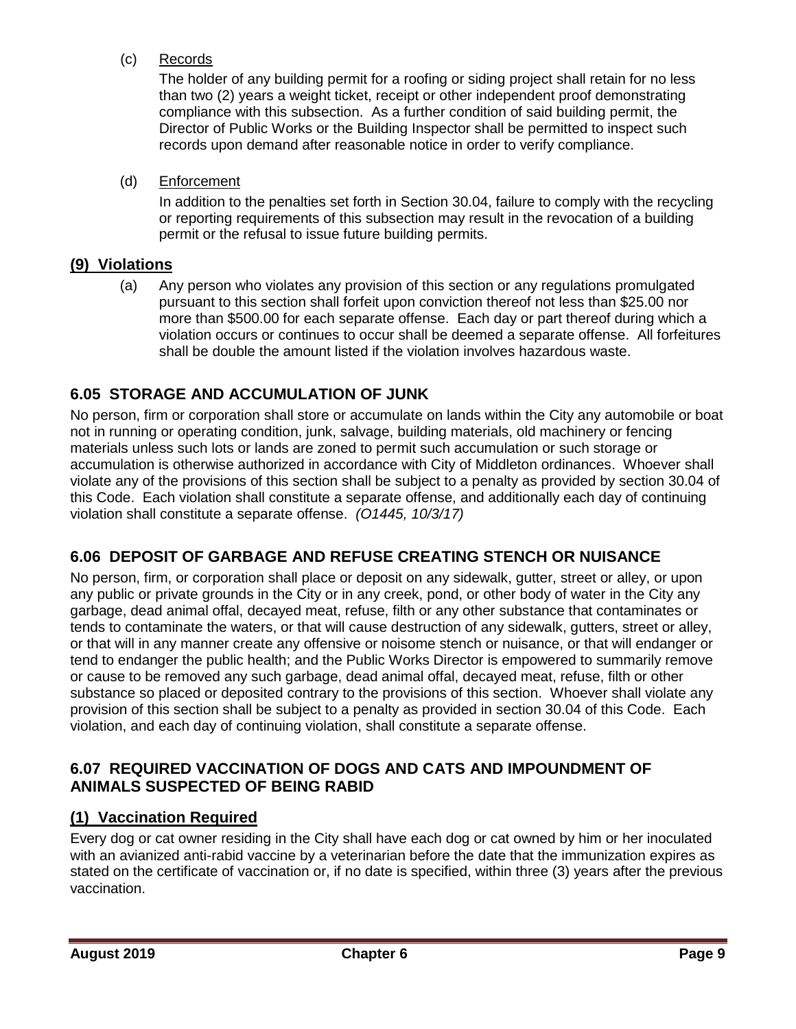(c) Records

The holder of any building permit for a roofing or siding project shall retain for no less than two (2) years a weight ticket, receipt or other independent proof demonstrating compliance with this subsection. As a further condition of said building permit, the Director of Public Works or the Building Inspector shall be permitted to inspect such records upon demand after reasonable notice in order to verify compliance.

(d) Enforcement

In addition to the penalties set forth in Section 30.04, failure to comply with the recycling or reporting requirements of this subsection may result in the revocation of a building permit or the refusal to issue future building permits.

## <span id="page-8-0"></span>**(9) Violations**

(a) Any person who violates any provision of this section or any regulations promulgated pursuant to this section shall forfeit upon conviction thereof not less than \$25.00 nor more than \$500.00 for each separate offense. Each day or part thereof during which a violation occurs or continues to occur shall be deemed a separate offense. All forfeitures shall be double the amount listed if the violation involves hazardous waste.

## <span id="page-8-1"></span>**6.05 STORAGE AND ACCUMULATION OF JUNK**

No person, firm or corporation shall store or accumulate on lands within the City any automobile or boat not in running or operating condition, junk, salvage, building materials, old machinery or fencing materials unless such lots or lands are zoned to permit such accumulation or such storage or accumulation is otherwise authorized in accordance with City of Middleton ordinances. Whoever shall violate any of the provisions of this section shall be subject to a penalty as provided by section 30.04 of this Code. Each violation shall constitute a separate offense, and additionally each day of continuing violation shall constitute a separate offense. *(O1445, 10/3/17)*

## <span id="page-8-2"></span>**6.06 DEPOSIT OF GARBAGE AND REFUSE CREATING STENCH OR NUISANCE**

No person, firm, or corporation shall place or deposit on any sidewalk, gutter, street or alley, or upon any public or private grounds in the City or in any creek, pond, or other body of water in the City any garbage, dead animal offal, decayed meat, refuse, filth or any other substance that contaminates or tends to contaminate the waters, or that will cause destruction of any sidewalk, gutters, street or alley, or that will in any manner create any offensive or noisome stench or nuisance, or that will endanger or tend to endanger the public health; and the Public Works Director is empowered to summarily remove or cause to be removed any such garbage, dead animal offal, decayed meat, refuse, filth or other substance so placed or deposited contrary to the provisions of this section. Whoever shall violate any provision of this section shall be subject to a penalty as provided in section 30.04 of this Code. Each violation, and each day of continuing violation, shall constitute a separate offense.

#### <span id="page-8-3"></span>**6.07 REQUIRED VACCINATION OF DOGS AND CATS AND IMPOUNDMENT OF ANIMALS SUSPECTED OF BEING RABID**

#### <span id="page-8-4"></span>**(1) Vaccination Required**

Every dog or cat owner residing in the City shall have each dog or cat owned by him or her inoculated with an avianized anti-rabid vaccine by a veterinarian before the date that the immunization expires as stated on the certificate of vaccination or, if no date is specified, within three (3) years after the previous vaccination.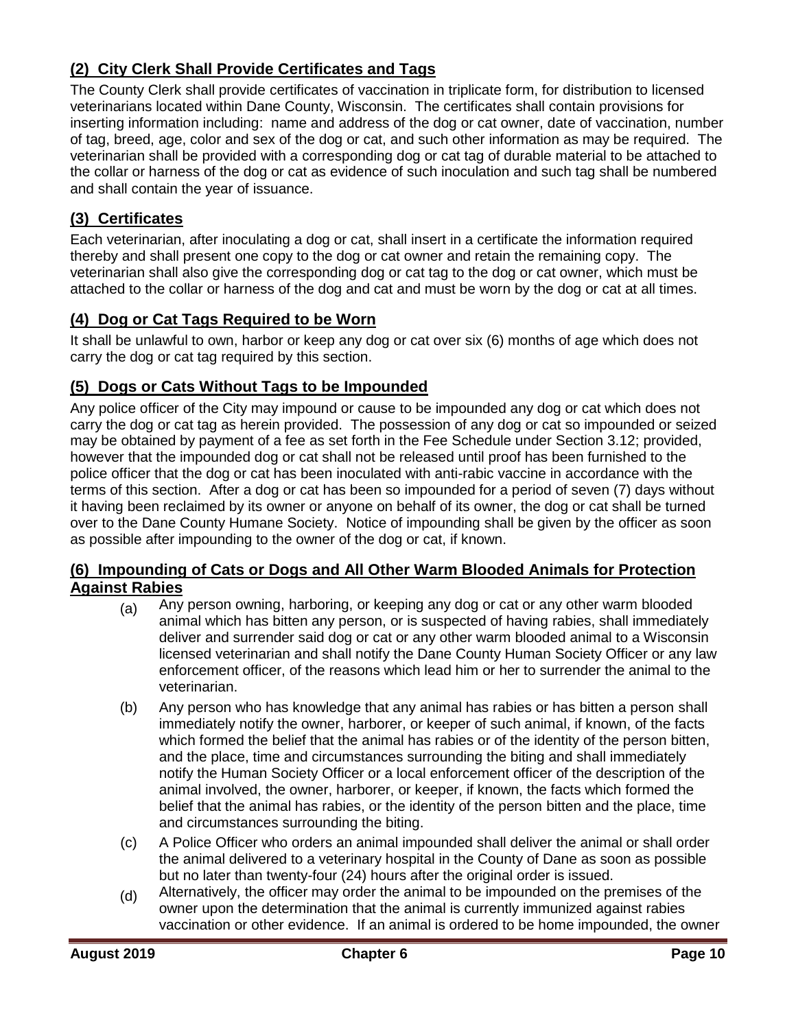## <span id="page-9-0"></span>**(2) City Clerk Shall Provide Certificates and Tags**

The County Clerk shall provide certificates of vaccination in triplicate form, for distribution to licensed veterinarians located within Dane County, Wisconsin. The certificates shall contain provisions for inserting information including: name and address of the dog or cat owner, date of vaccination, number of tag, breed, age, color and sex of the dog or cat, and such other information as may be required. The veterinarian shall be provided with a corresponding dog or cat tag of durable material to be attached to the collar or harness of the dog or cat as evidence of such inoculation and such tag shall be numbered and shall contain the year of issuance.

## <span id="page-9-1"></span>**(3) Certificates**

Each veterinarian, after inoculating a dog or cat, shall insert in a certificate the information required thereby and shall present one copy to the dog or cat owner and retain the remaining copy. The veterinarian shall also give the corresponding dog or cat tag to the dog or cat owner, which must be attached to the collar or harness of the dog and cat and must be worn by the dog or cat at all times.

## <span id="page-9-2"></span>**(4) Dog or Cat Tags Required to be Worn**

It shall be unlawful to own, harbor or keep any dog or cat over six (6) months of age which does not carry the dog or cat tag required by this section.

## <span id="page-9-3"></span>**(5) Dogs or Cats Without Tags to be Impounded**

Any police officer of the City may impound or cause to be impounded any dog or cat which does not carry the dog or cat tag as herein provided. The possession of any dog or cat so impounded or seized may be obtained by payment of a fee as set forth in the Fee Schedule under Section 3.12; provided, however that the impounded dog or cat shall not be released until proof has been furnished to the police officer that the dog or cat has been inoculated with anti-rabic vaccine in accordance with the terms of this section. After a dog or cat has been so impounded for a period of seven (7) days without it having been reclaimed by its owner or anyone on behalf of its owner, the dog or cat shall be turned over to the Dane County Humane Society. Notice of impounding shall be given by the officer as soon as possible after impounding to the owner of the dog or cat, if known.

#### <span id="page-9-4"></span>**(6) Impounding of Cats or Dogs and All Other Warm Blooded Animals for Protection Against Rabies**

- $(a)$  Any person owning, harboring, or keeping any dog or cat or any other warm blooded animal which has bitten any person, or is suspected of having rabies, shall immediately deliver and surrender said dog or cat or any other warm blooded animal to a Wisconsin licensed veterinarian and shall notify the Dane County Human Society Officer or any law enforcement officer, of the reasons which lead him or her to surrender the animal to the veterinarian.
- (b) Any person who has knowledge that any animal has rabies or has bitten a person shall immediately notify the owner, harborer, or keeper of such animal, if known, of the facts which formed the belief that the animal has rabies or of the identity of the person bitten, and the place, time and circumstances surrounding the biting and shall immediately notify the Human Society Officer or a local enforcement officer of the description of the animal involved, the owner, harborer, or keeper, if known, the facts which formed the belief that the animal has rabies, or the identity of the person bitten and the place, time and circumstances surrounding the biting.
- (c) A Police Officer who orders an animal impounded shall deliver the animal or shall order the animal delivered to a veterinary hospital in the County of Dane as soon as possible but no later than twenty-four (24) hours after the original order is issued.
- (d) Alternatively, the officer may order the animal to be impounded on the premises of the owner upon the determination that the animal is currently immunized against rabies vaccination or other evidence. If an animal is ordered to be home impounded, the owner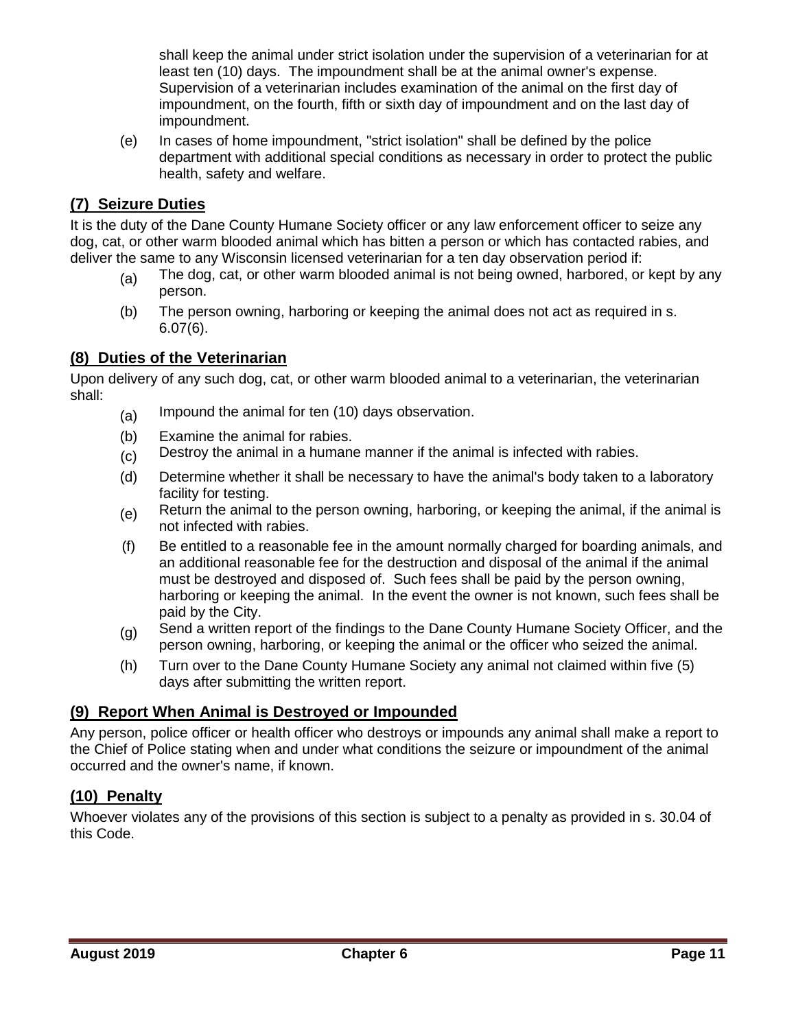shall keep the animal under strict isolation under the supervision of a veterinarian for at least ten (10) days. The impoundment shall be at the animal owner's expense. Supervision of a veterinarian includes examination of the animal on the first day of impoundment, on the fourth, fifth or sixth day of impoundment and on the last day of impoundment.

(e) In cases of home impoundment, "strict isolation" shall be defined by the police department with additional special conditions as necessary in order to protect the public health, safety and welfare.

## <span id="page-10-0"></span>**(7) Seizure Duties**

It is the duty of the Dane County Humane Society officer or any law enforcement officer to seize any dog, cat, or other warm blooded animal which has bitten a person or which has contacted rabies, and deliver the same to any Wisconsin licensed veterinarian for a ten day observation period if:

- $(a)$  The dog, cat, or other warm blooded animal is not being owned, harbored, or kept by any person.
- (b) The person owning, harboring or keeping the animal does not act as required in s. 6.07(6).

#### <span id="page-10-1"></span>**(8) Duties of the Veterinarian**

Upon delivery of any such dog, cat, or other warm blooded animal to a veterinarian, the veterinarian shall:

- (a) Impound the animal for ten (10) days observation.
- (b) Examine the animal for rabies.
- (c) Destroy the animal in a humane manner if the animal is infected with rabies.
- (d) Determine whether it shall be necessary to have the animal's body taken to a laboratory facility for testing.
- (e) Return the animal to the person owning, harboring, or keeping the animal, if the animal is not infected with rabies.
- (f) Be entitled to a reasonable fee in the amount normally charged for boarding animals, and an additional reasonable fee for the destruction and disposal of the animal if the animal must be destroyed and disposed of. Such fees shall be paid by the person owning, harboring or keeping the animal. In the event the owner is not known, such fees shall be paid by the City.
- (g) Send a written report of the findings to the Dane County Humane Society Officer, and the person owning, harboring, or keeping the animal or the officer who seized the animal.
- (h) Turn over to the Dane County Humane Society any animal not claimed within five (5) days after submitting the written report.

#### <span id="page-10-2"></span>**(9) Report When Animal is Destroyed or Impounded**

Any person, police officer or health officer who destroys or impounds any animal shall make a report to the Chief of Police stating when and under what conditions the seizure or impoundment of the animal occurred and the owner's name, if known.

## <span id="page-10-3"></span>**(10) Penalty**

Whoever violates any of the provisions of this section is subject to a penalty as provided in s. 30.04 of this Code.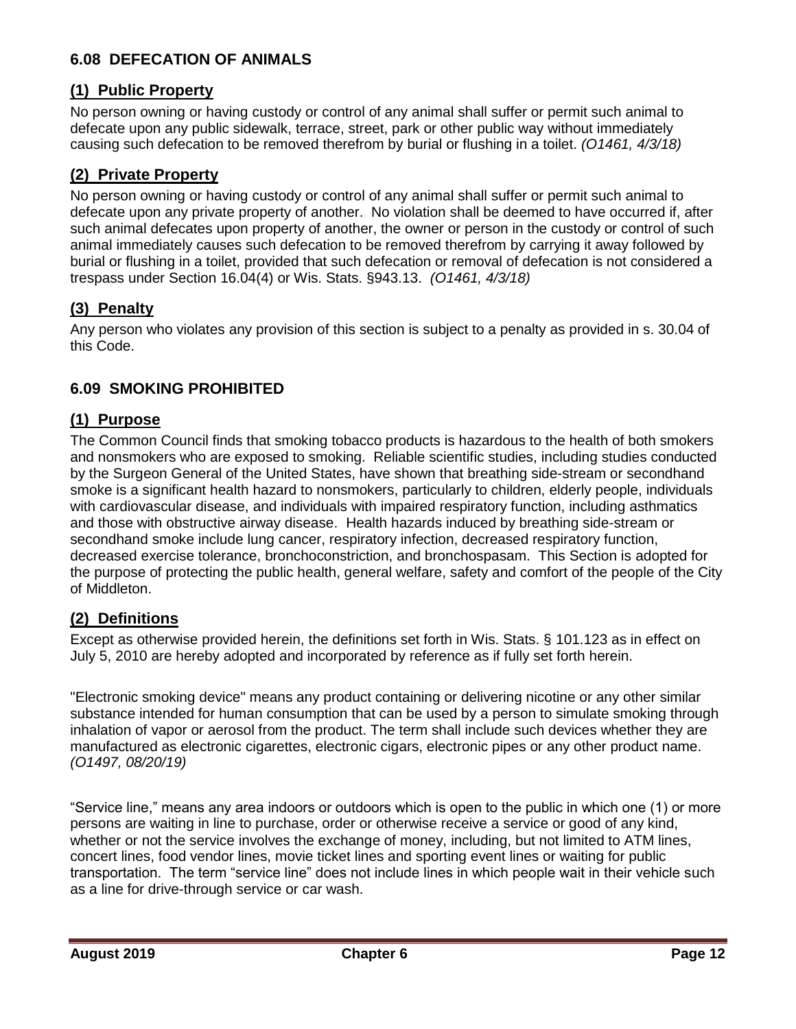## <span id="page-11-0"></span>**6.08 DEFECATION OF ANIMALS**

## <span id="page-11-1"></span>**(1) Public Property**

No person owning or having custody or control of any animal shall suffer or permit such animal to defecate upon any public sidewalk, terrace, street, park or other public way without immediately causing such defecation to be removed therefrom by burial or flushing in a toilet. *(O1461, 4/3/18)*

## <span id="page-11-2"></span>**(2) Private Property**

No person owning or having custody or control of any animal shall suffer or permit such animal to defecate upon any private property of another. No violation shall be deemed to have occurred if, after such animal defecates upon property of another, the owner or person in the custody or control of such animal immediately causes such defecation to be removed therefrom by carrying it away followed by burial or flushing in a toilet, provided that such defecation or removal of defecation is not considered a trespass under Section 16.04(4) or Wis. Stats. §943.13. *(O1461, 4/3/18)*

## <span id="page-11-3"></span>**(3) Penalty**

Any person who violates any provision of this section is subject to a penalty as provided in s. 30.04 of this Code.

## <span id="page-11-4"></span>**6.09 SMOKING PROHIBITED**

## <span id="page-11-5"></span>**(1) Purpose**

The Common Council finds that smoking tobacco products is hazardous to the health of both smokers and nonsmokers who are exposed to smoking. Reliable scientific studies, including studies conducted by the Surgeon General of the United States, have shown that breathing side-stream or secondhand smoke is a significant health hazard to nonsmokers, particularly to children, elderly people, individuals with cardiovascular disease, and individuals with impaired respiratory function, including asthmatics and those with obstructive airway disease. Health hazards induced by breathing side-stream or secondhand smoke include lung cancer, respiratory infection, decreased respiratory function, decreased exercise tolerance, bronchoconstriction, and bronchospasam. This Section is adopted for the purpose of protecting the public health, general welfare, safety and comfort of the people of the City of Middleton.

## <span id="page-11-6"></span>**(2) Definitions**

Except as otherwise provided herein, the definitions set forth in Wis. Stats. § 101.123 as in effect on July 5, 2010 are hereby adopted and incorporated by reference as if fully set forth herein.

"Electronic smoking device" means any product containing or delivering nicotine or any other similar substance intended for human consumption that can be used by a person to simulate smoking through inhalation of vapor or aerosol from the product. The term shall include such devices whether they are manufactured as electronic cigarettes, electronic cigars, electronic pipes or any other product name. *(O1497, 08/20/19)*

"Service line," means any area indoors or outdoors which is open to the public in which one (1) or more persons are waiting in line to purchase, order or otherwise receive a service or good of any kind, whether or not the service involves the exchange of money, including, but not limited to ATM lines, concert lines, food vendor lines, movie ticket lines and sporting event lines or waiting for public transportation. The term "service line" does not include lines in which people wait in their vehicle such as a line for drive-through service or car wash.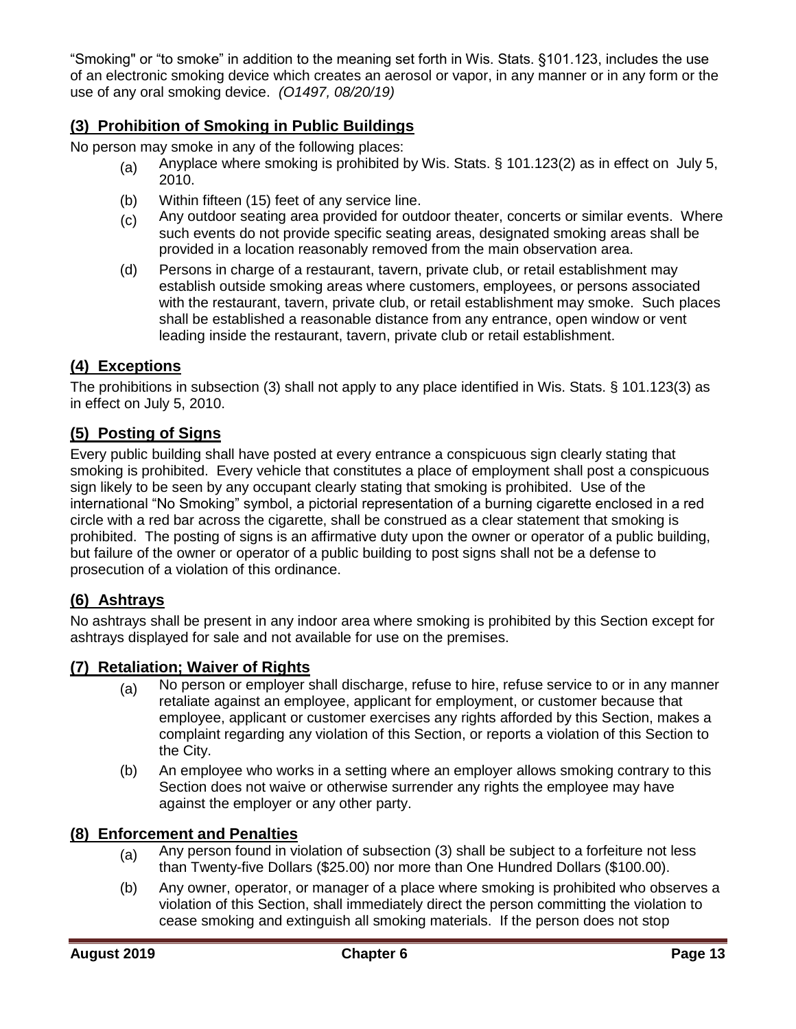"Smoking" or "to smoke" in addition to the meaning set forth in Wis. Stats. §101.123, includes the use of an electronic smoking device which creates an aerosol or vapor, in any manner or in any form or the use of any oral smoking device. *(O1497, 08/20/19)*

## <span id="page-12-0"></span>**(3) Prohibition of Smoking in Public Buildings**

No person may smoke in any of the following places:

- (a) Anyplace where smoking is prohibited by Wis. Stats. § 101.123(2) as in effect on July 5, 2010.
- (b) Within fifteen (15) feet of any service line.
- (c) Any outdoor seating area provided for outdoor theater, concerts or similar events. Where such events do not provide specific seating areas, designated smoking areas shall be provided in a location reasonably removed from the main observation area.
- (d) Persons in charge of a restaurant, tavern, private club, or retail establishment may establish outside smoking areas where customers, employees, or persons associated with the restaurant, tavern, private club, or retail establishment may smoke. Such places shall be established a reasonable distance from any entrance, open window or vent leading inside the restaurant, tavern, private club or retail establishment.

#### <span id="page-12-1"></span>**(4) Exceptions**

The prohibitions in subsection (3) shall not apply to any place identified in Wis. Stats. § 101.123(3) as in effect on July 5, 2010.

#### <span id="page-12-2"></span>**(5) Posting of Signs**

Every public building shall have posted at every entrance a conspicuous sign clearly stating that smoking is prohibited. Every vehicle that constitutes a place of employment shall post a conspicuous sign likely to be seen by any occupant clearly stating that smoking is prohibited. Use of the international "No Smoking" symbol, a pictorial representation of a burning cigarette enclosed in a red circle with a red bar across the cigarette, shall be construed as a clear statement that smoking is prohibited. The posting of signs is an affirmative duty upon the owner or operator of a public building, but failure of the owner or operator of a public building to post signs shall not be a defense to prosecution of a violation of this ordinance.

#### <span id="page-12-3"></span>**(6) Ashtrays**

No ashtrays shall be present in any indoor area where smoking is prohibited by this Section except for ashtrays displayed for sale and not available for use on the premises.

#### <span id="page-12-4"></span>**(7) Retaliation; Waiver of Rights**

- (a) No person or employer shall discharge, refuse to hire, refuse service to or in any manner retaliate against an employee, applicant for employment, or customer because that employee, applicant or customer exercises any rights afforded by this Section, makes a complaint regarding any violation of this Section, or reports a violation of this Section to the City.
- (b) An employee who works in a setting where an employer allows smoking contrary to this Section does not waive or otherwise surrender any rights the employee may have against the employer or any other party.

#### <span id="page-12-5"></span>**(8) Enforcement and Penalties**

- $(a)$  Any person found in violation of subsection (3) shall be subject to a forfeiture not less than Twenty-five Dollars (\$25.00) nor more than One Hundred Dollars (\$100.00).
- (b) Any owner, operator, or manager of a place where smoking is prohibited who observes a violation of this Section, shall immediately direct the person committing the violation to cease smoking and extinguish all smoking materials. If the person does not stop